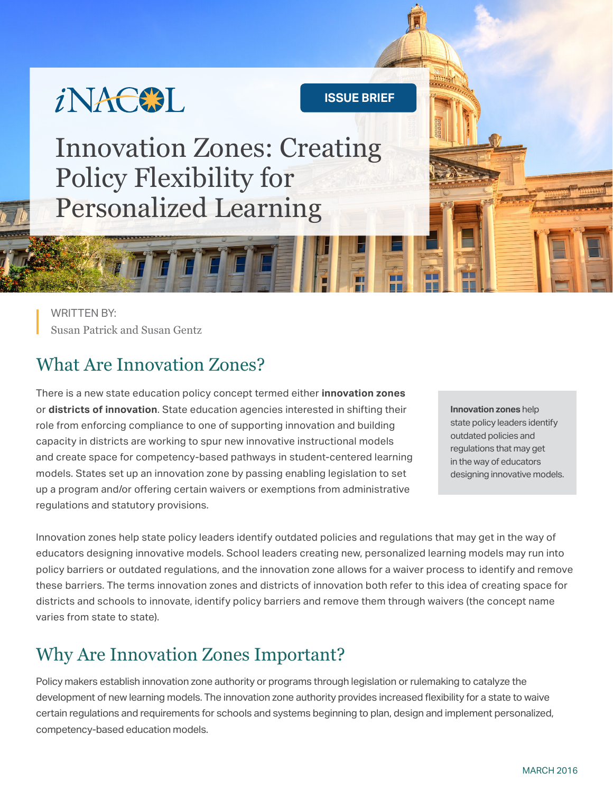

**ISSUE BRIEF**

Innovation Zones: Creating Policy Flexibility for Personalized Learning

WRITTEN BY: Susan Patrick and Susan Gentz

### What Are Innovation Zones?

There is a new state education policy concept termed either **innovation zones** or **districts of innovation**. State education agencies interested in shifting their role from enforcing compliance to one of supporting innovation and building capacity in districts are working to spur new innovative instructional models and create space for competency-based pathways in student-centered learning models. States set up an innovation zone by passing enabling legislation to set up a program and/or offering certain waivers or exemptions from administrative regulations and statutory provisions.

**Innovation zones** help state policy leaders identify outdated policies and regulations that may get in the way of educators designing innovative models.

Innovation zones help state policy leaders identify outdated policies and regulations that may get in the way of educators designing innovative models. School leaders creating new, personalized learning models may run into policy barriers or outdated regulations, and the innovation zone allows for a waiver process to identify and remove these barriers. The terms innovation zones and districts of innovation both refer to this idea of creating space for districts and schools to innovate, identify policy barriers and remove them through waivers (the concept name varies from state to state).

## Why Are Innovation Zones Important?

Policy makers establish innovation zone authority or programs through legislation or rulemaking to catalyze the development of new learning models. The innovation zone authority provides increased flexibility for a state to waive certain regulations and requirements for schools and systems beginning to plan, design and implement personalized, competency-based education models.